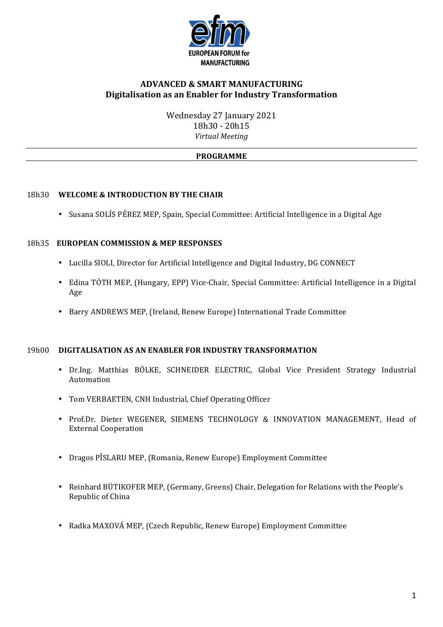

# **ADVANCED & SMART MANUFACTURING Digitalisation as an Enabler for Industry Transformation**

Wednesday 27 January 2021 18h30 - 20h15 *Virtual Meeting*

## **PROGRAMME**

## 18h30 **WELCOME & INTRODUCTION BY THE CHAIR**

• Susana SOLÍS PÉREZ MEP, Spain, Special Committee: Artificial Intelligence in a Digital Age

### 18h35 **EUROPEAN COMMISSION & MEP RESPONSES**

- Lucilla SIOLI, Director for Artificial Intelligence and Digital Industry, DG CONNECT
- Edina TÓTH MEP, (Hungary, EPP) Vice-Chair, Special Committee: Artificial Intelligence in a Digital Age
- Barry ANDREWS MEP, (Ireland, Renew Europe) International Trade Committee

#### 19h00 **DIGITALISATION AS AN ENABLER FOR INDUSTRY TRANSFORMATION**

- Dr.Ing. Matthias BÖLKE, SCHNEIDER ELECTRIC, Global Vice President Strategy Industrial Automation
- Tom VERBAETEN, CNH Industrial, Chief Operating Officer
- Prof.Dr. Dieter WEGENER, SIEMENS TECHNOLOGY & INNOVATION MANAGEMENT, Head of External Cooperation
- Dragos PÎSLARU MEP, (Romania, Renew Europe) Employment Committee
- Reinhard BÜTIKOFER MEP, (Germany, Greens) Chair, Delegation for Relations with the People's Republic of China
- Radka MAXOVÁ MEP, (Czech Republic, Renew Europe) Employment Committee